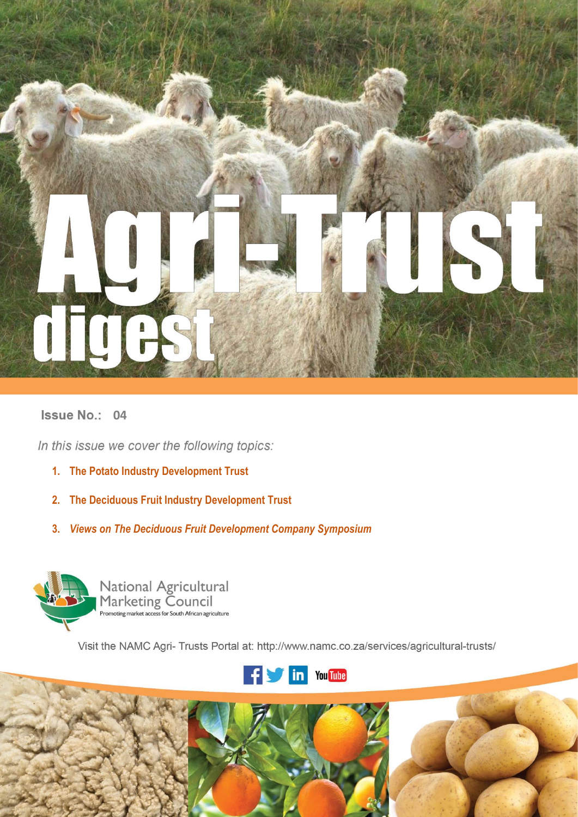

# **Issue No.: 04**

In this issue we cover the following topics:

- **1. The Potato Industry Development Trust**
- **2. The Deciduous Fruit Industry Development Trust**
- **3.** *Views on The Deciduous Fruit Development Company Symposium*



National Agricultural<br>Marketing Council<br>Promoting market access for South African agriculture

Visit the NAMC Agri- Trusts Portal at: http://www.namc.co.za/services/agricultural-trusts/



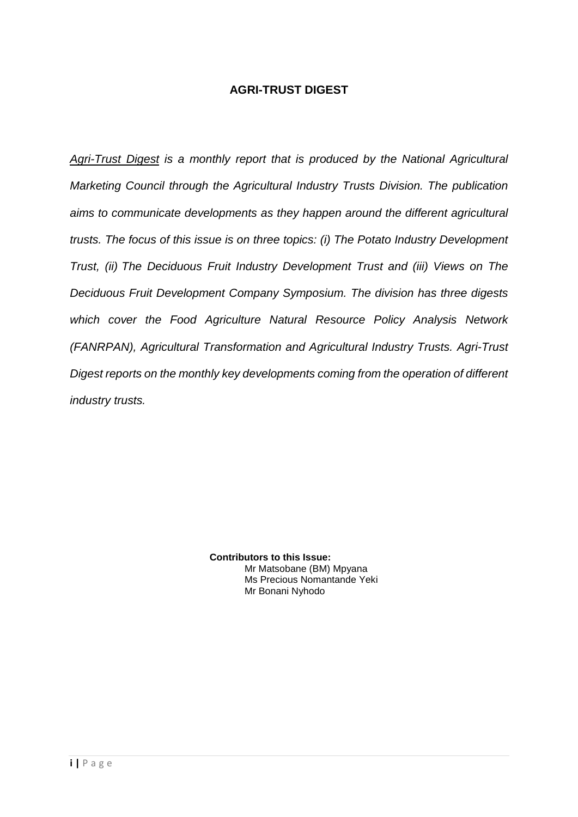# **AGRI-TRUST DIGEST**

*Agri-Trust Digest is a monthly report that is produced by the National Agricultural Marketing Council through the Agricultural Industry Trusts Division. The publication aims to communicate developments as they happen around the different agricultural trusts. The focus of this issue is on three topics: (i) The Potato Industry Development Trust, (ii) The Deciduous Fruit Industry Development Trust and (iii) Views on The Deciduous Fruit Development Company Symposium. The division has three digests which cover the Food Agriculture Natural Resource Policy Analysis Network (FANRPAN), Agricultural Transformation and Agricultural Industry Trusts. Agri-Trust Digest reports on the monthly key developments coming from the operation of different industry trusts.*

> **Contributors to this Issue:** Mr Matsobane (BM) Mpyana Ms Precious Nomantande Yeki Mr Bonani Nyhodo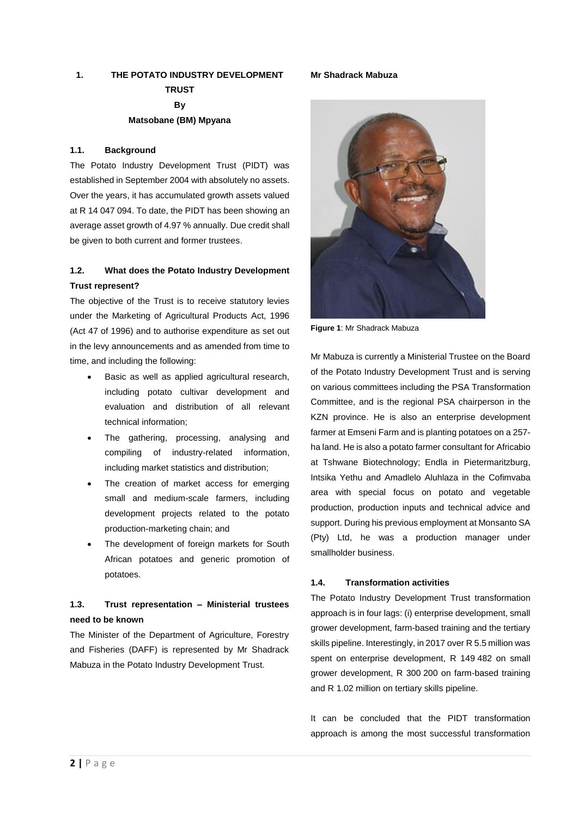# **1. THE POTATO INDUSTRY DEVELOPMENT TRUST By Matsobane (BM) Mpyana**

#### **1.1. Background**

The Potato Industry Development Trust (PIDT) was established in September 2004 with absolutely no assets. Over the years, it has accumulated growth assets valued at R 14 047 094. To date, the PIDT has been showing an average asset growth of 4.97 % annually. Due credit shall be given to both current and former trustees.

# **1.2. What does the Potato Industry Development Trust represent?**

The objective of the Trust is to receive statutory levies under the Marketing of Agricultural Products Act, 1996 (Act 47 of 1996) and to authorise expenditure as set out in the levy announcements and as amended from time to time, and including the following:

- Basic as well as applied agricultural research, including potato cultivar development and evaluation and distribution of all relevant technical information;
- The gathering, processing, analysing and compiling of industry-related information, including market statistics and distribution;
- The creation of market access for emerging small and medium-scale farmers, including development projects related to the potato production-marketing chain; and
- The development of foreign markets for South African potatoes and generic promotion of potatoes.

# **1.3. Trust representation – Ministerial trustees need to be known**

The Minister of the Department of Agriculture, Forestry and Fisheries (DAFF) is represented by Mr Shadrack Mabuza in the Potato Industry Development Trust.

**Figure 1**: Mr Shadrack Mabuza

Mr Mabuza is currently a Ministerial Trustee on the Board of the Potato Industry Development Trust and is serving on various committees including the PSA Transformation Committee, and is the regional PSA chairperson in the KZN province. He is also an enterprise development farmer at Emseni Farm and is planting potatoes on a 257 ha land. He is also a potato farmer consultant for Africabio at Tshwane Biotechnology; Endla in Pietermaritzburg, Intsika Yethu and Amadlelo Aluhlaza in the Cofimvaba area with special focus on potato and vegetable production, production inputs and technical advice and support. During his previous employment at Monsanto SA (Pty) Ltd, he was a production manager under smallholder business.

#### **1.4. Transformation activities**

The Potato Industry Development Trust transformation approach is in four lags: (i) enterprise development, small grower development, farm-based training and the tertiary skills pipeline. Interestingly, in 2017 over R 5.5 million was spent on enterprise development, R 149 482 on small grower development, R 300 200 on farm-based training and R 1.02 million on tertiary skills pipeline.

It can be concluded that the PIDT transformation approach is among the most successful transformation

## **Mr Shadrack Mabuza**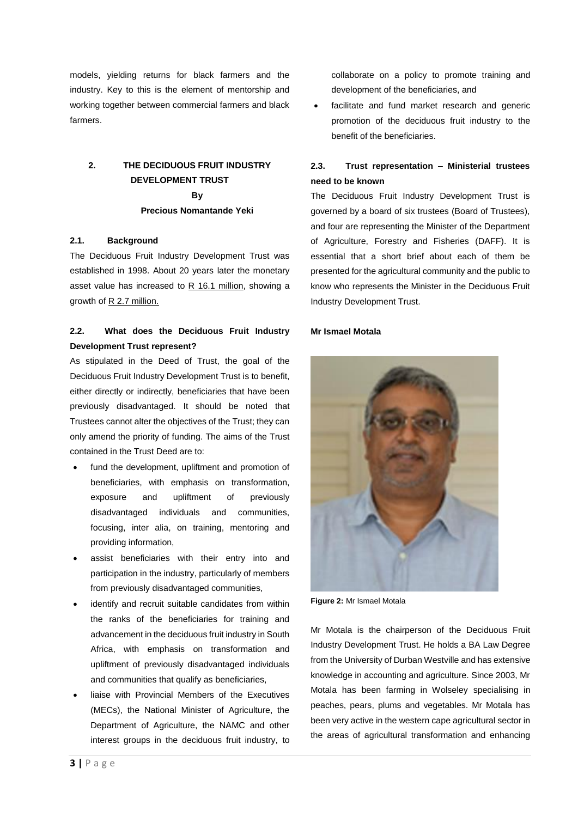models, yielding returns for black farmers and the industry. Key to this is the element of mentorship and working together between commercial farmers and black farmers.

# **2. THE DECIDUOUS FRUIT INDUSTRY DEVELOPMENT TRUST By Precious Nomantande Yeki**

#### **2.1. Background**

The Deciduous Fruit Industry Development Trust was established in 1998. About 20 years later the monetary asset value has increased to R 16.1 million, showing a growth of R 2.7 million.

# **2.2. What does the Deciduous Fruit Industry Development Trust represent?**

As stipulated in the Deed of Trust, the goal of the Deciduous Fruit Industry Development Trust is to benefit, either directly or indirectly, beneficiaries that have been previously disadvantaged. [It should be noted](https://www.powerthesaurus.org/it_should_be_noted/synonyms) that Trustees cannot alter the objectives of the Trust; they can only amend the priority of funding. The aims of the Trust contained in the Trust Deed are to:

- fund the development, upliftment and promotion of beneficiaries, with emphasis on transformation, exposure and upliftment of previously disadvantaged individuals and communities, focusing, inter alia, on training, mentoring and providing information,
- assist beneficiaries with their entry into and participation in the industry, particularly of members from previously disadvantaged communities,
- identify and recruit suitable candidates from within the ranks of the beneficiaries for training and advancement in the deciduous fruit industry in South Africa, with emphasis on transformation and upliftment of previously disadvantaged individuals and communities that qualify as beneficiaries,
- liaise with Provincial Members of the Executives (MECs), the National Minister of Agriculture, the Department of Agriculture, the NAMC and other interest groups in the deciduous fruit industry, to

collaborate on a policy to promote training and development of the beneficiaries, and

facilitate and fund market research and generic promotion of the deciduous fruit industry to the benefit of the beneficiaries.

# **2.3. Trust representation – Ministerial trustees need to be known**

The Deciduous Fruit Industry Development Trust is governed by a board of six trustees (Board of Trustees), and four are representing the Minister of the Department of Agriculture, Forestry and Fisheries (DAFF). It is essential that a short brief about each of them be presented for the agricultural community and the public to know who represents the Minister in the Deciduous Fruit Industry Development Trust.

#### **Mr Ismael Motala**



**Figure 2:** Mr Ismael Motala

Mr Motala is the chairperson of the Deciduous Fruit Industry Development Trust. He holds a BA Law Degree from the University of Durban Westville and has extensive knowledge in accounting and agriculture. Since 2003, Mr Motala has been farming in Wolseley specialising in peaches, pears, plums and vegetables. Mr Motala has been very active in the western cape agricultural sector in the areas of agricultural transformation and enhancing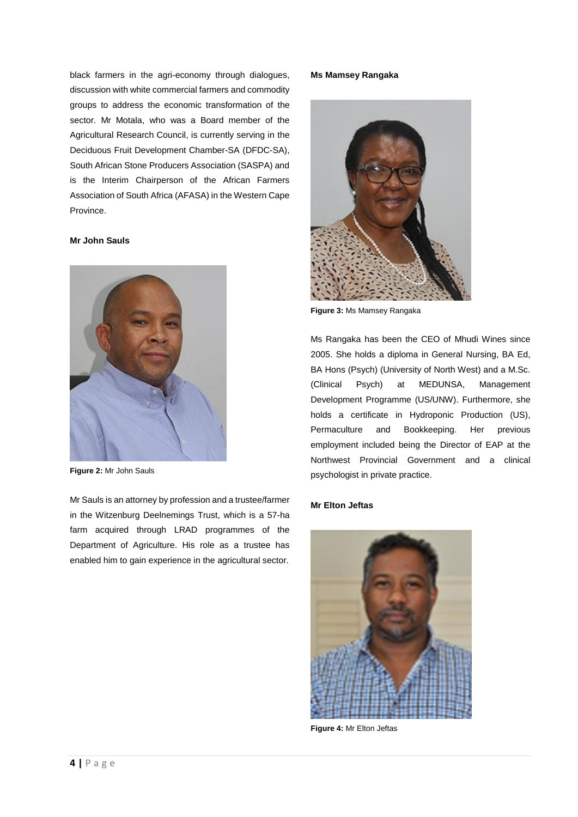black farmers in the agri-economy through dialogues, discussion with white commercial farmers and commodity groups to address the economic transformation of the sector. Mr Motala, who was a Board member of the Agricultural Research Council, is currently serving in the Deciduous Fruit Development Chamber-SA (DFDC-SA), South African Stone Producers Association (SASPA) and is the Interim Chairperson of the African Farmers Association of South Africa (AFASA) in the Western Cape Province.

### **Mr John Sauls**



**Figure 2:** Mr John Sauls

Mr Sauls is an attorney by profession and a trustee/farmer in the Witzenburg Deelnemings Trust, which is a 57-ha farm acquired through LRAD programmes of the Department of Agriculture. His role as a trustee has enabled him to gain experience in the agricultural sector.

#### **Ms Mamsey Rangaka**



**Figure 3:** Ms Mamsey Rangaka

Ms Rangaka has been the CEO of Mhudi Wines since 2005. She holds a diploma in General Nursing, BA Ed, BA Hons (Psych) (University of North West) and a M.Sc. (Clinical Psych) at MEDUNSA, Management Development Programme (US/UNW). Furthermore, she holds a certificate in Hydroponic Production (US), Permaculture and Bookkeeping. Her previous employment included being the Director of EAP at the Northwest Provincial Government and a clinical psychologist in private practice.

### **Mr Elton Jeftas**



**Figure 4:** Mr Elton Jeftas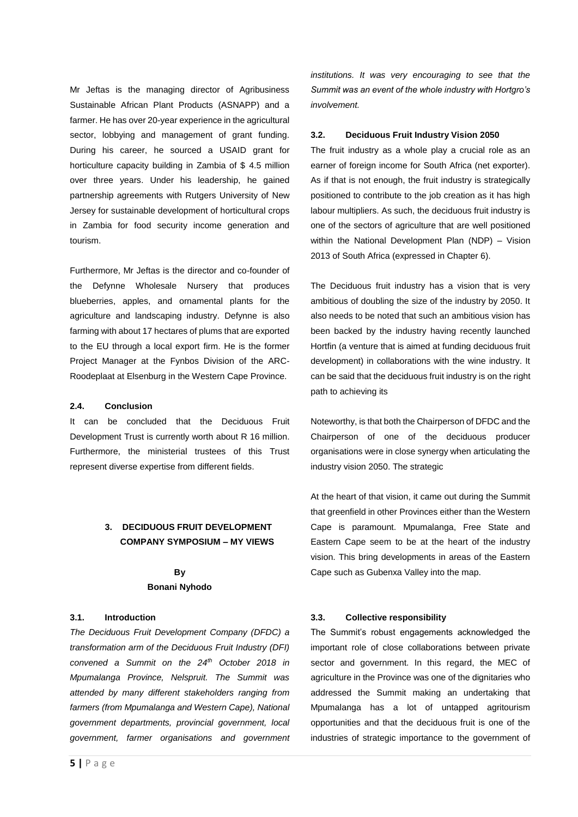Mr Jeftas is the managing director of Agribusiness Sustainable African Plant Products (ASNAPP) and a farmer. He has over 20-year experience in the agricultural sector, lobbying and management of grant funding. During his career, he sourced a USAID grant for horticulture capacity building in Zambia of \$ 4.5 million over three years. Under his leadership, he gained partnership agreements with Rutgers University of New Jersey for sustainable development of horticultural crops in Zambia for food security income generation and tourism.

Furthermore, Mr Jeftas is the director and co-founder of the Defynne Wholesale Nursery that produces blueberries, apples, and ornamental plants for the agriculture and landscaping industry. Defynne is also farming with about 17 hectares of plums that are exported to the EU through a local export firm. He is the former Project Manager at the Fynbos Division of the ARC-Roodeplaat at Elsenburg in the Western Cape Province.

#### **2.4. Conclusion**

It can be concluded that the Deciduous Fruit Development Trust is currently worth about R 16 million. Furthermore, the ministerial trustees of this Trust represent diverse expertise from different fields.

## **3. DECIDUOUS FRUIT DEVELOPMENT COMPANY SYMPOSIUM – MY VIEWS**

## **By Bonani Nyhodo**

#### **3.1. Introduction**

*The Deciduous Fruit Development Company (DFDC) a transformation arm of the Deciduous Fruit Industry (DFI) convened a Summit on the 24th October 2018 in Mpumalanga Province, Nelspruit. The Summit was attended by many different stakeholders ranging from farmers (from Mpumalanga and Western Cape), National government departments, provincial government, local government, farmer organisations and government* 

#### **3.2. Deciduous Fruit Industry Vision 2050**

The fruit industry as a whole play a crucial role as an earner of foreign income for South Africa (net exporter). As if that is not enough, the fruit industry is strategically positioned to contribute to the job creation as it has high labour multipliers. As such, the deciduous fruit industry is one of the sectors of agriculture that are well positioned within the National Development Plan (NDP) – Vision 2013 of South Africa (expressed in Chapter 6).

The Deciduous fruit industry has a vision that is very ambitious of doubling the size of the industry by 2050. It also needs to be noted that such an ambitious vision has been backed by the industry having recently launched Hortfin (a venture that is aimed at funding deciduous fruit development) in collaborations with the wine industry. It can be said that the deciduous fruit industry is on the right path to achieving its

Noteworthy, is that both the Chairperson of DFDC and the Chairperson of one of the deciduous producer organisations were in close synergy when articulating the industry vision 2050. The strategic

At the heart of that vision, it came out during the Summit that greenfield in other Provinces either than the Western Cape is paramount. Mpumalanga, Free State and Eastern Cape seem to be at the heart of the industry vision. This bring developments in areas of the Eastern Cape such as Gubenxa Valley into the map.

#### **3.3. Collective responsibility**

The Summit's robust engagements acknowledged the important role of close collaborations between private sector and government. In this regard, the MEC of agriculture in the Province was one of the dignitaries who addressed the Summit making an undertaking that Mpumalanga has a lot of untapped agritourism opportunities and that the deciduous fruit is one of the industries of strategic importance to the government of